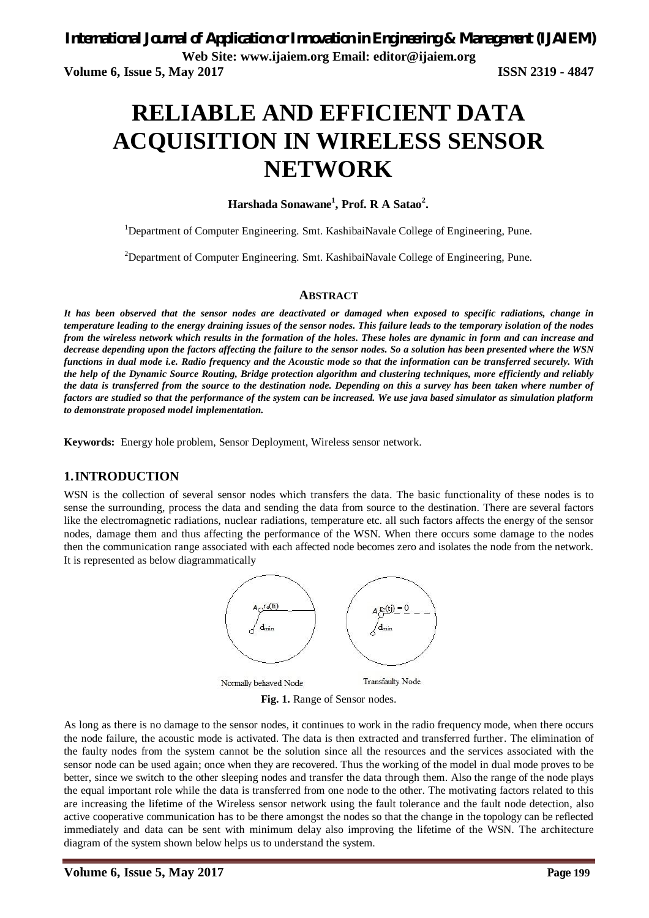# **RELIABLE AND EFFICIENT DATA ACQUISITION IN WIRELESS SENSOR NETWORK**

**Harshada Sonawane<sup>1</sup> , Prof. R A Satao<sup>2</sup> .**

<sup>1</sup>Department of Computer Engineering. Smt. KashibaiNavale College of Engineering, Pune.

<sup>2</sup>Department of Computer Engineering. Smt. KashibaiNavale College of Engineering, Pune.

#### **ABSTRACT**

*It has been observed that the sensor nodes are deactivated or damaged when exposed to specific radiations, change in temperature leading to the energy draining issues of the sensor nodes. This failure leads to the temporary isolation of the nodes from the wireless network which results in the formation of the holes. These holes are dynamic in form and can increase and decrease depending upon the factors affecting the failure to the sensor nodes. So a solution has been presented where the WSN functions in dual mode i.e. Radio frequency and the Acoustic mode so that the information can be transferred securely. With the help of the Dynamic Source Routing, Bridge protection algorithm and clustering techniques, more efficiently and reliably the data is transferred from the source to the destination node. Depending on this a survey has been taken where number of factors are studied so that the performance of the system can be increased. We use java based simulator as simulation platform to demonstrate proposed model implementation.*

**Keywords:** Energy hole problem, Sensor Deployment, Wireless sensor network.

### **1.INTRODUCTION**

WSN is the collection of several sensor nodes which transfers the data. The basic functionality of these nodes is to sense the surrounding, process the data and sending the data from source to the destination. There are several factors like the electromagnetic radiations, nuclear radiations, temperature etc. all such factors affects the energy of the sensor nodes, damage them and thus affecting the performance of the WSN. When there occurs some damage to the nodes then the communication range associated with each affected node becomes zero and isolates the node from the network. It is represented as below diagrammatically



**Fig. 1.** Range of Sensor nodes.

As long as there is no damage to the sensor nodes, it continues to work in the radio frequency mode, when there occurs the node failure, the acoustic mode is activated. The data is then extracted and transferred further. The elimination of the faulty nodes from the system cannot be the solution since all the resources and the services associated with the sensor node can be used again; once when they are recovered. Thus the working of the model in dual mode proves to be better, since we switch to the other sleeping nodes and transfer the data through them. Also the range of the node plays the equal important role while the data is transferred from one node to the other. The motivating factors related to this are increasing the lifetime of the Wireless sensor network using the fault tolerance and the fault node detection, also active cooperative communication has to be there amongst the nodes so that the change in the topology can be reflected immediately and data can be sent with minimum delay also improving the lifetime of the WSN. The architecture diagram of the system shown below helps us to understand the system.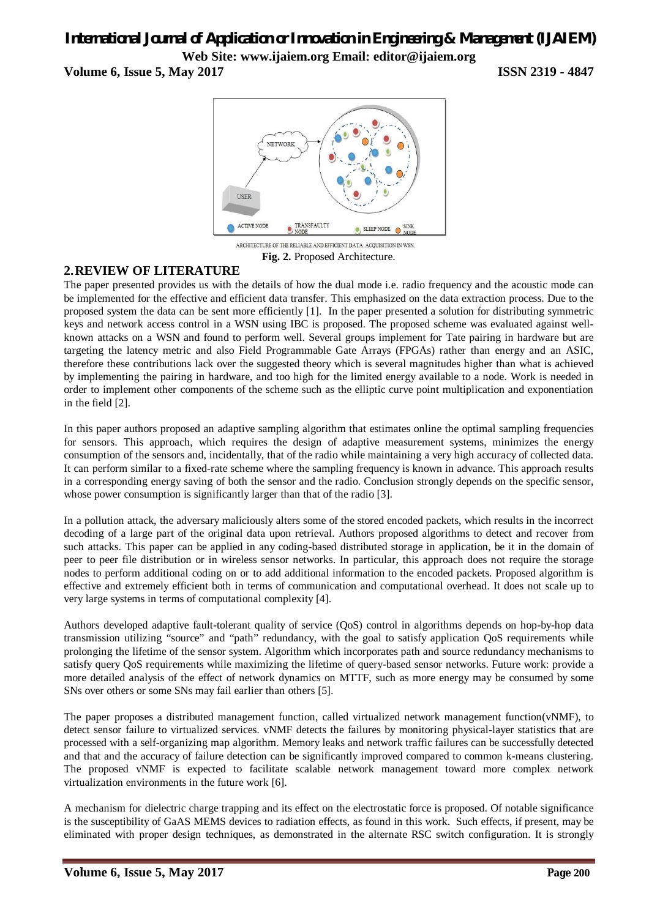# *International Journal of Application or Innovation in Engineering & Management (IJAIEM)* **Web Site: www.ijaiem.org Email: editor@ijaiem.org**

### **Volume 6, Issue 5, May 2017 ISSN 2319 - 4847**



ARCHITECTURE OF THE RELIABLE AND EFFICIENT DATA ACQUISITION IN WSN. **Fig. 2.** Proposed Architecture.

### **2.REVIEW OF LITERATURE**

The paper presented provides us with the details of how the dual mode i.e. radio frequency and the acoustic mode can be implemented for the effective and efficient data transfer. This emphasized on the data extraction process. Due to the proposed system the data can be sent more efficiently [1]. In the paper presented a solution for distributing symmetric keys and network access control in a WSN using IBC is proposed. The proposed scheme was evaluated against wellknown attacks on a WSN and found to perform well. Several groups implement for Tate pairing in hardware but are targeting the latency metric and also Field Programmable Gate Arrays (FPGAs) rather than energy and an ASIC, therefore these contributions lack over the suggested theory which is several magnitudes higher than what is achieved by implementing the pairing in hardware, and too high for the limited energy available to a node. Work is needed in order to implement other components of the scheme such as the elliptic curve point multiplication and exponentiation in the field [2].

In this paper authors proposed an adaptive sampling algorithm that estimates online the optimal sampling frequencies for sensors. This approach, which requires the design of adaptive measurement systems, minimizes the energy consumption of the sensors and, incidentally, that of the radio while maintaining a very high accuracy of collected data. It can perform similar to a fixed-rate scheme where the sampling frequency is known in advance. This approach results in a corresponding energy saving of both the sensor and the radio. Conclusion strongly depends on the specific sensor, whose power consumption is significantly larger than that of the radio [3].

In a pollution attack, the adversary maliciously alters some of the stored encoded packets, which results in the incorrect decoding of a large part of the original data upon retrieval. Authors proposed algorithms to detect and recover from such attacks. This paper can be applied in any coding-based distributed storage in application, be it in the domain of peer to peer file distribution or in wireless sensor networks. In particular, this approach does not require the storage nodes to perform additional coding on or to add additional information to the encoded packets. Proposed algorithm is effective and extremely efficient both in terms of communication and computational overhead. It does not scale up to very large systems in terms of computational complexity [4].

Authors developed adaptive fault-tolerant quality of service (QoS) control in algorithms depends on hop-by-hop data transmission utilizing "source" and "path" redundancy, with the goal to satisfy application QoS requirements while prolonging the lifetime of the sensor system. Algorithm which incorporates path and source redundancy mechanisms to satisfy query QoS requirements while maximizing the lifetime of query-based sensor networks. Future work: provide a more detailed analysis of the effect of network dynamics on MTTF, such as more energy may be consumed by some SNs over others or some SNs may fail earlier than others [5].

The paper proposes a distributed management function, called virtualized network management function(vNMF), to detect sensor failure to virtualized services. vNMF detects the failures by monitoring physical-layer statistics that are processed with a self-organizing map algorithm. Memory leaks and network traffic failures can be successfully detected and that and the accuracy of failure detection can be significantly improved compared to common k-means clustering. The proposed vNMF is expected to facilitate scalable network management toward more complex network virtualization environments in the future work [6].

A mechanism for dielectric charge trapping and its effect on the electrostatic force is proposed. Of notable significance is the susceptibility of GaAS MEMS devices to radiation effects, as found in this work. Such effects, if present, may be eliminated with proper design techniques, as demonstrated in the alternate RSC switch configuration. It is strongly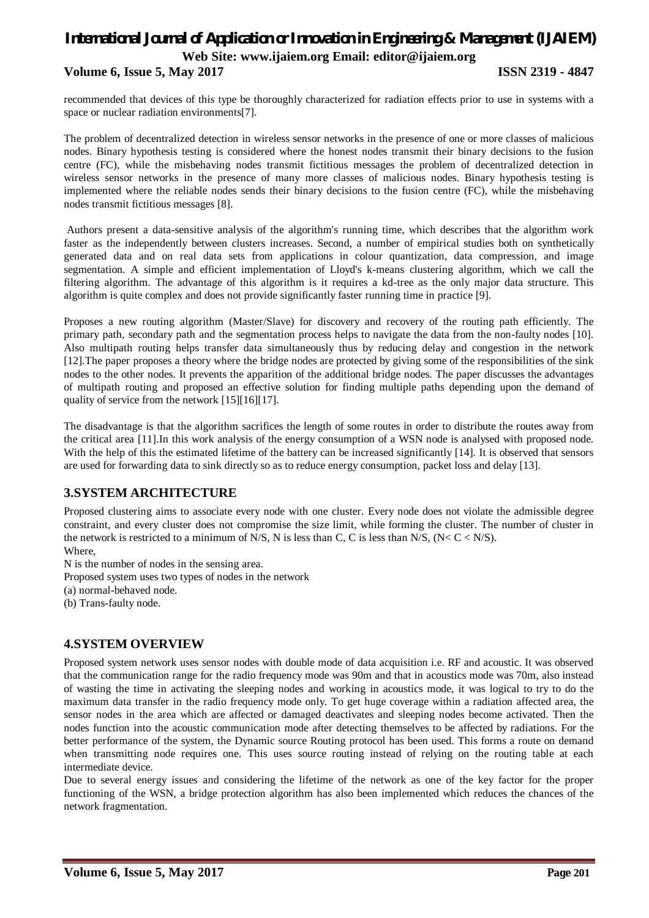# *International Journal of Application or Innovation in Engineering & Management (IJAIEM)* **Web Site: www.ijaiem.org Email: editor@ijaiem.org Volume 6, Issue 5, May 2017 ISSN 2319 - 4847**

recommended that devices of this type be thoroughly characterized for radiation effects prior to use in systems with a space or nuclear radiation environments[7].

The problem of decentralized detection in wireless sensor networks in the presence of one or more classes of malicious nodes. Binary hypothesis testing is considered where the honest nodes transmit their binary decisions to the fusion centre (FC), while the misbehaving nodes transmit fictitious messages the problem of decentralized detection in wireless sensor networks in the presence of many more classes of malicious nodes. Binary hypothesis testing is implemented where the reliable nodes sends their binary decisions to the fusion centre (FC), while the misbehaving nodes transmit fictitious messages [8].

Authors present a data-sensitive analysis of the algorithm's running time, which describes that the algorithm work faster as the independently between clusters increases. Second, a number of empirical studies both on synthetically generated data and on real data sets from applications in colour quantization, data compression, and image segmentation. A simple and efficient implementation of Lloyd's k-means clustering algorithm, which we call the filtering algorithm. The advantage of this algorithm is it requires a kd-tree as the only major data structure. This algorithm is quite complex and does not provide significantly faster running time in practice [9].

Proposes a new routing algorithm (Master/Slave) for discovery and recovery of the routing path efficiently. The primary path, secondary path and the segmentation process helps to navigate the data from the non-faulty nodes [10]. Also multipath routing helps transfer data simultaneously thus by reducing delay and congestion in the network [12].The paper proposes a theory where the bridge nodes are protected by giving some of the responsibilities of the sink nodes to the other nodes. It prevents the apparition of the additional bridge nodes. The paper discusses the advantages of multipath routing and proposed an effective solution for finding multiple paths depending upon the demand of quality of service from the network [15][16][17].

The disadvantage is that the algorithm sacrifices the length of some routes in order to distribute the routes away from the critical area [11].In this work analysis of the energy consumption of a WSN node is analysed with proposed node. With the help of this the estimated lifetime of the battery can be increased significantly [14]. It is observed that sensors are used for forwarding data to sink directly so as to reduce energy consumption, packet loss and delay [13].

### **3.SYSTEM ARCHITECTURE**

Proposed clustering aims to associate every node with one cluster. Every node does not violate the admissible degree constraint, and every cluster does not compromise the size limit, while forming the cluster. The number of cluster in the network is restricted to a minimum of N/S, N is less than C, C is less than N/S,  $(N < C < N/S)$ .

Where, N is the number of nodes in the sensing area. Proposed system uses two types of nodes in the network (a) normal-behaved node. (b) Trans-faulty node.

### **4.SYSTEM OVERVIEW**

Proposed system network uses sensor nodes with double mode of data acquisition i.e. RF and acoustic. It was observed that the communication range for the radio frequency mode was 90m and that in acoustics mode was 70m, also instead of wasting the time in activating the sleeping nodes and working in acoustics mode, it was logical to try to do the maximum data transfer in the radio frequency mode only. To get huge coverage within a radiation affected area, the sensor nodes in the area which are affected or damaged deactivates and sleeping nodes become activated. Then the nodes function into the acoustic communication mode after detecting themselves to be affected by radiations. For the better performance of the system, the Dynamic source Routing protocol has been used. This forms a route on demand when transmitting node requires one. This uses source routing instead of relying on the routing table at each intermediate device.

Due to several energy issues and considering the lifetime of the network as one of the key factor for the proper functioning of the WSN, a bridge protection algorithm has also been implemented which reduces the chances of the network fragmentation.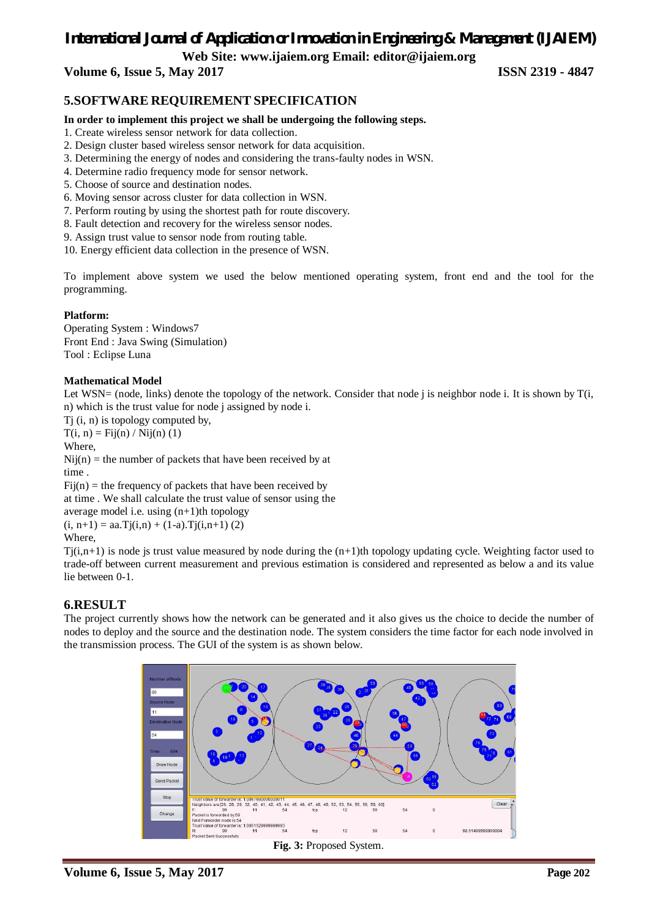# *International Journal of Application or Innovation in Engineering & Management (IJAIEM)*

**Web Site: www.ijaiem.org Email: editor@ijaiem.org**

**Volume 6, Issue 5, May 2017 ISSN 2319 - 4847**

### **5.SOFTWARE REQUIREMENT SPECIFICATION**

#### **In order to implement this project we shall be undergoing the following steps.**

- 1. Create wireless sensor network for data collection.
- 2. Design cluster based wireless sensor network for data acquisition.
- 3. Determining the energy of nodes and considering the trans-faulty nodes in WSN.
- 4. Determine radio frequency mode for sensor network.
- 5. Choose of source and destination nodes.
- 6. Moving sensor across cluster for data collection in WSN.
- 7. Perform routing by using the shortest path for route discovery.
- 8. Fault detection and recovery for the wireless sensor nodes.
- 9. Assign trust value to sensor node from routing table.

10. Energy efficient data collection in the presence of WSN.

To implement above system we used the below mentioned operating system, front end and the tool for the programming.

#### **Platform:**

Operating System : Windows7 Front End : Java Swing (Simulation) Tool : Eclipse Luna

#### **Mathematical Model**

Let WSN= (node, links) denote the topology of the network. Consider that node j is neighbor node i. It is shown by  $T(i,$ n) which is the trust value for node j assigned by node i.

Tj (i, n) is topology computed by,

 $T(i, n) =$ Fij(n) / Nij(n) (1)

Where,

 $Nij(n)$  = the number of packets that have been received by at time .

 $Fi(**n**)$  = the frequency of packets that have been received by

at time . We shall calculate the trust value of sensor using the

average model i.e. using (n+1)th topology  $(i, n+1) = aa.Tj(i,n) + (1-a).Tj(i,n+1)$  (2)

Where,

 $Ti(i,n+1)$  is node is trust value measured by node during the  $(n+1)$ th topology updating cycle. Weighting factor used to trade-off between current measurement and previous estimation is considered and represented as below a and its value lie between 0-1.

### **6.RESULT**

The project currently shows how the network can be generated and it also gives us the choice to decide the number of nodes to deploy and the source and the destination node. The system considers the time factor for each node involved in the transmission process. The GUI of the system is as shown below.



**Volume 6, Issue 5, May 2017 Page 202**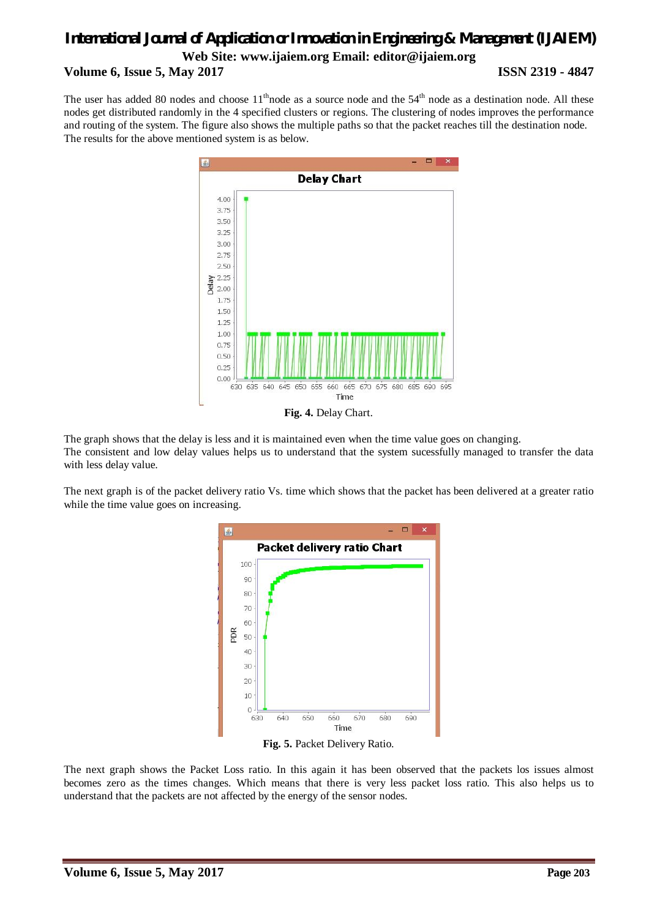## *International Journal of Application or Innovation in Engineering & Management (IJAIEM)* **Web Site: www.ijaiem.org Email: editor@ijaiem.org Volume 6, Issue 5, May 2017 ISSN 2319 - 4847**

The user has added 80 nodes and choose  $11<sup>th</sup>$  node as a source node and the  $54<sup>th</sup>$  node as a destination node. All these nodes get distributed randomly in the 4 specified clusters or regions. The clustering of nodes improves the performance and routing of the system. The figure also shows the multiple paths so that the packet reaches till the destination node. The results for the above mentioned system is as below.



The graph shows that the delay is less and it is maintained even when the time value goes on changing. The consistent and low delay values helps us to understand that the system sucessfully managed to transfer the data with less delay value.

The next graph is of the packet delivery ratio Vs. time which shows that the packet has been delivered at a greater ratio while the time value goes on increasing.



The next graph shows the Packet Loss ratio. In this again it has been observed that the packets los issues almost becomes zero as the times changes. Which means that there is very less packet loss ratio. This also helps us to understand that the packets are not affected by the energy of the sensor nodes.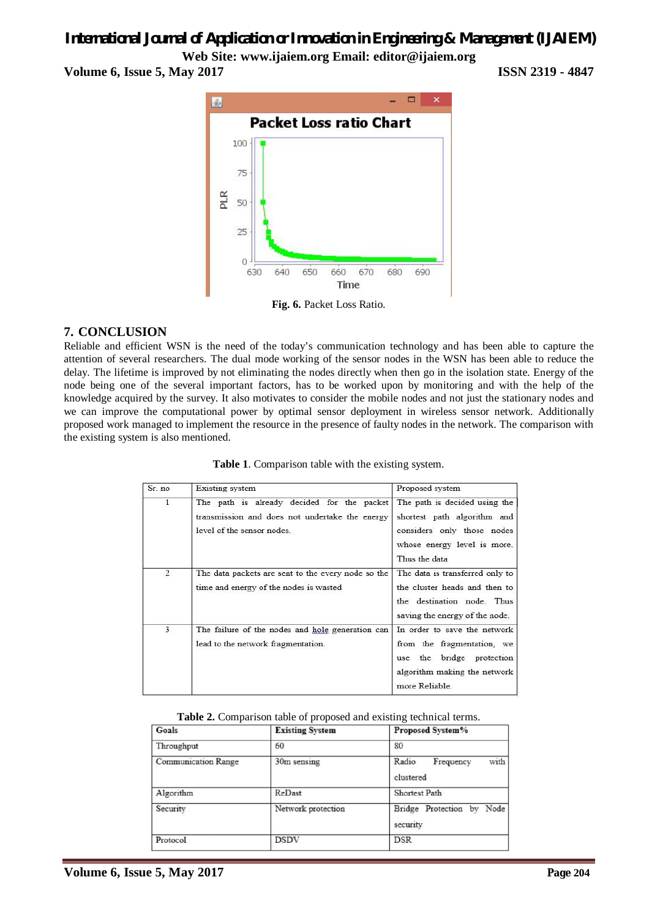# *International Journal of Application or Innovation in Engineering & Management (IJAIEM)*

**Web Site: www.ijaiem.org Email: editor@ijaiem.org**

**Volume 6, Issue 5, May 2017 ISSN 2319 - 4847**



**Fig. 6.** Packet Loss Ratio.

### **7. CONCLUSION**

Reliable and efficient WSN is the need of the today's communication technology and has been able to capture the attention of several researchers. The dual mode working of the sensor nodes in the WSN has been able to reduce the delay. The lifetime is improved by not eliminating the nodes directly when then go in the isolation state. Energy of the node being one of the several important factors, has to be worked upon by monitoring and with the help of the knowledge acquired by the survey. It also motivates to consider the mobile nodes and not just the stationary nodes and we can improve the computational power by optimal sensor deployment in wireless sensor network. Additionally proposed work managed to implement the resource in the presence of faulty nodes in the network. The comparison with the existing system is also mentioned.

| Sr. no         | Existing system                                                                                                            | Proposed system                                                                                                                            |
|----------------|----------------------------------------------------------------------------------------------------------------------------|--------------------------------------------------------------------------------------------------------------------------------------------|
| 1              | The path is already decided for the packet<br>transmission and does not undertake the energy<br>level of the sensor nodes. | The path is decided using the<br>shortest path algorithm and<br>considers only those nodes<br>whose energy level is more.<br>Thus the data |
| $\overline{2}$ | The data packets are sent to the every node so the<br>time and energy of the nodes is wasted                               | The data is transferred only to<br>the cluster heads and then to<br>the destination node. Thus<br>saving the energy of the node.           |
| 3              | The failure of the nodes and hole generation can<br>lead to the network fragmentation.                                     | In order to save the network<br>from the fragmentation, we<br>use the bridge protection<br>algorithm making the network<br>more Reliable.  |

**Table 1**. Comparison table with the existing system.

#### **Table 2.** Comparison table of proposed and existing technical terms.

| Goals                      | <b>Existing System</b> | Proposed System%                        |
|----------------------------|------------------------|-----------------------------------------|
| Throughput                 | 60                     | 80                                      |
| <b>Communication Range</b> | 30m sensing            | with<br>Radio<br>Frequency<br>clustered |
| Algorithm                  | ReDast                 | Shortest Path                           |
| Security                   | Network protection     | Bridge Protection by Node<br>security   |
| Protocol                   | <b>DSDV</b>            | <b>DSR</b>                              |